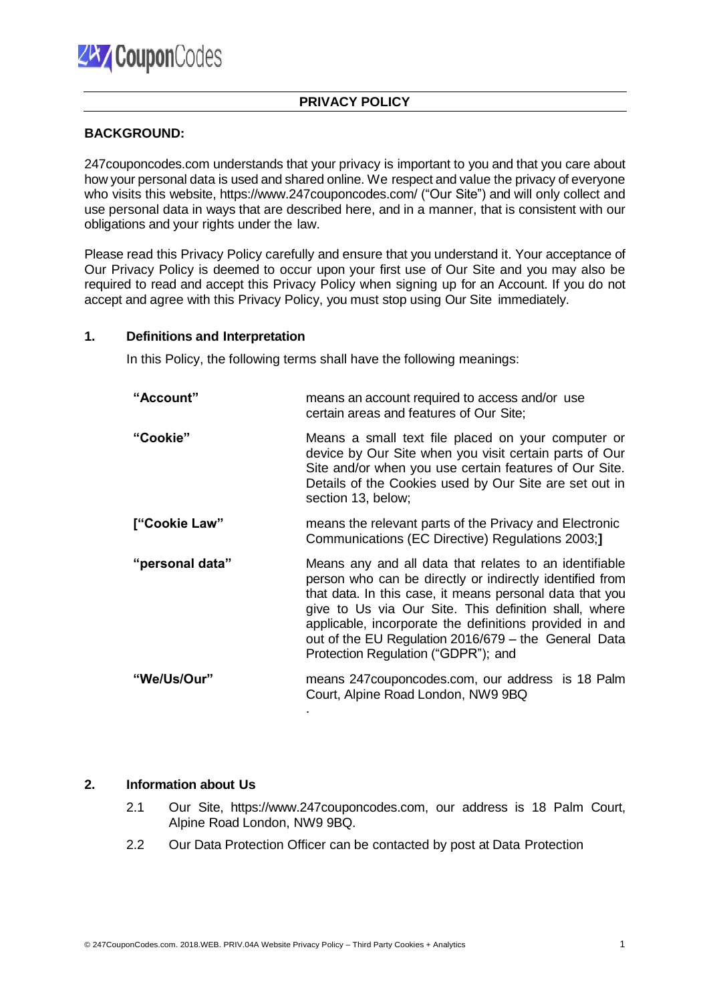# **PRIVACY POLICY**

### **BACKGROUND:**

247couponcodes.com understands that your privacy is important to you and that you care about how your personal data is used and shared online. We respect and value the privacy of everyone who visits this website, https://www.247couponcodes.com/ ("Our Site") and will only collect and use personal data in ways that are described here, and in a manner, that is consistent with our obligations and your rights under the law.

Please read this Privacy Policy carefully and ensure that you understand it. Your acceptance of Our Privacy Policy is deemed to occur upon your first use of Our Site and you may also be required to read and accept this Privacy Policy when signing up for an Account. If you do not accept and agree with this Privacy Policy, you must stop using Our Site immediately.

### **1. Definitions and Interpretation**

In this Policy, the following terms shall have the following meanings:

| "Account"       | means an account required to access and/or use<br>certain areas and features of Our Site;                                                                                                                                                                                                                                                                                                         |
|-----------------|---------------------------------------------------------------------------------------------------------------------------------------------------------------------------------------------------------------------------------------------------------------------------------------------------------------------------------------------------------------------------------------------------|
| "Cookie"        | Means a small text file placed on your computer or<br>device by Our Site when you visit certain parts of Our<br>Site and/or when you use certain features of Our Site.<br>Details of the Cookies used by Our Site are set out in<br>section 13, below;                                                                                                                                            |
| ["Cookie Law"   | means the relevant parts of the Privacy and Electronic<br>Communications (EC Directive) Regulations 2003;]                                                                                                                                                                                                                                                                                        |
| "personal data" | Means any and all data that relates to an identifiable<br>person who can be directly or indirectly identified from<br>that data. In this case, it means personal data that you<br>give to Us via Our Site. This definition shall, where<br>applicable, incorporate the definitions provided in and<br>out of the EU Regulation 2016/679 - the General Data<br>Protection Regulation ("GDPR"); and |
| "We/Us/Our"     | means 247 coupon codes.com, our address is 18 Palm<br>Court, Alpine Road London, NW9 9BQ                                                                                                                                                                                                                                                                                                          |

#### **2. Information about Us**

- 2.1 Our Site, https://www[.247couponcodes.com, o](http://www.writeblog.net/)ur address is 18 Palm Court, Alpine Road London, NW9 9BQ.
- 2.2 Our Data Protection Officer can be contacted by post at Data Protection

.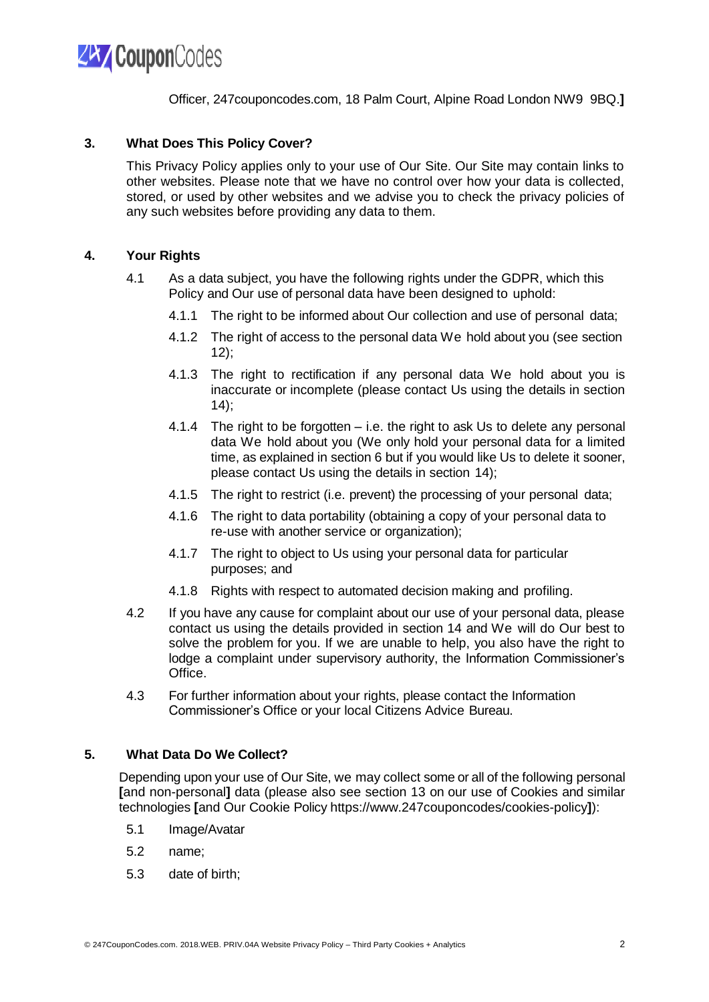

Officer, 247couponcodes.com, 18 Palm Court, Alpine Road London NW9 9BQ.**]**

### **3. What Does This Policy Cover?**

This Privacy Policy applies only to your use of Our Site. Our Site may contain links to other websites. Please note that we have no control over how your data is collected, stored, or used by other websites and we advise you to check the privacy policies of any such websites before providing any data to them.

### **4. Your Rights**

- 4.1 As a data subject, you have the following rights under the GDPR, which this Policy and Our use of personal data have been designed to uphold:
	- 4.1.1 The right to be informed about Our collection and use of personal data;
	- 4.1.2 The right of access to the personal data We hold about you (see section 12);
	- 4.1.3 The right to rectification if any personal data We hold about you is inaccurate or incomplete (please contact Us using the details in section 14);
	- 4.1.4 The right to be forgotten i.e. the right to ask Us to delete any personal data We hold about you (We only hold your personal data for a limited time, as explained in section 6 but if you would like Us to delete it sooner, please contact Us using the details in section 14);
	- 4.1.5 The right to restrict (i.e. prevent) the processing of your personal data;
	- 4.1.6 The right to data portability (obtaining a copy of your personal data to re-use with another service or organization);
	- 4.1.7 The right to object to Us using your personal data for particular purposes; and
	- 4.1.8 Rights with respect to automated decision making and profiling.
- 4.2 If you have any cause for complaint about our use of your personal data, please contact us using the details provided in section 14 and We will do Our best to solve the problem for you. If we are unable to help, you also have the right to lodge a complaint under supervisory authority, the Information Commissioner's Office.
- 4.3 For further information about your rights, please contact the Information Commissioner's Office or your local Citizens Advice Bureau.

#### **5. What Data Do We Collect?**

Depending upon your use of Our Site, we may collect some or all of the following personal **[**and non-personal**]** data (please also see section 13 on our use of Cookies and similar technologies **[**and Our Cookie Policy https://www.247couponcodes/cookies-policy**]**):

- 5.1 Image/Avatar
- 5.2 name;
- 5.3 date of birth;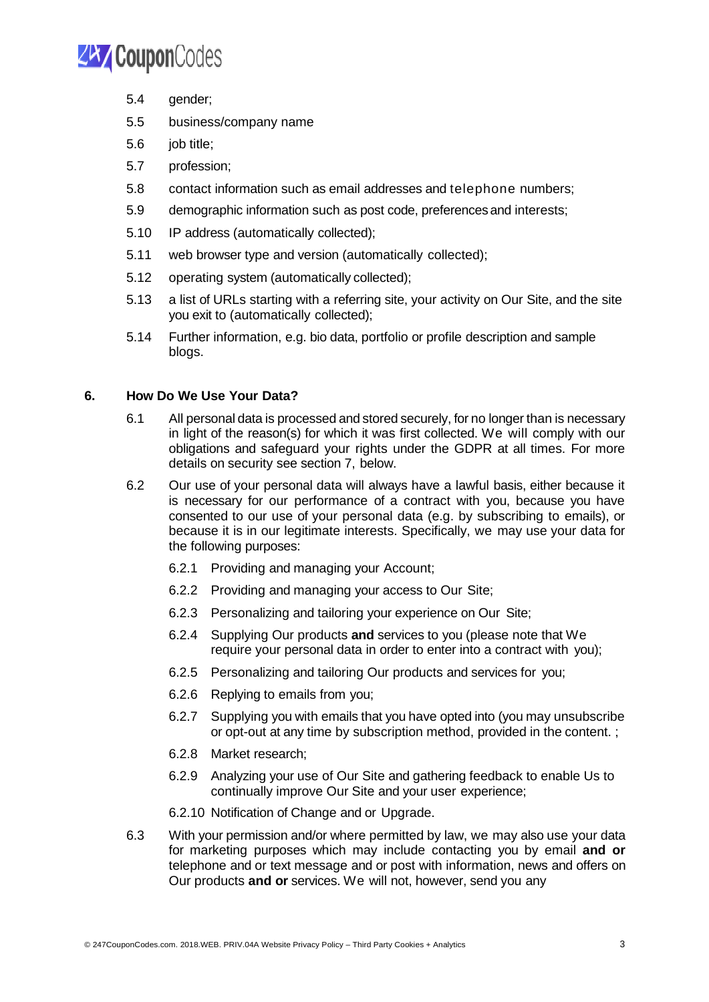

- 5.4 gender;
- 5.5 business/company name
- 5.6 job title;
- 5.7 profession;
- 5.8 contact information such as email addresses and telephone numbers;
- 5.9 demographic information such as post code, preferences and interests;
- 5.10 IP address (automatically collected);
- 5.11 web browser type and version (automatically collected);
- 5.12 operating system (automatically collected);
- 5.13 a list of URLs starting with a referring site, your activity on Our Site, and the site you exit to (automatically collected);
- 5.14 Further information, e.g. bio data, portfolio or profile description and sample blogs.

# **6. How Do We Use Your Data?**

- 6.1 All personal data is processed and stored securely, for no longer than is necessary in light of the reason(s) for which it was first collected. We will comply with our obligations and safeguard your rights under the GDPR at all times. For more details on security see section 7, below.
- 6.2 Our use of your personal data will always have a lawful basis, either because it is necessary for our performance of a contract with you, because you have consented to our use of your personal data (e.g. by subscribing to emails), or because it is in our legitimate interests. Specifically, we may use your data for the following purposes:
	- 6.2.1 Providing and managing your Account;
	- 6.2.2 Providing and managing your access to Our Site;
	- 6.2.3 Personalizing and tailoring your experience on Our Site;
	- 6.2.4 Supplying Our products **and** services to you (please note that We require your personal data in order to enter into a contract with you);
	- 6.2.5 Personalizing and tailoring Our products and services for you;
	- 6.2.6 Replying to emails from you;
	- 6.2.7 Supplying you with emails that you have opted into (you may unsubscribe or opt-out at any time by subscription method, provided in the content. ;
	- 6.2.8 Market research;
	- 6.2.9 Analyzing your use of Our Site and gathering feedback to enable Us to continually improve Our Site and your user experience;
	- 6.2.10 Notification of Change and or Upgrade.
- 6.3 With your permission and/or where permitted by law, we may also use your data for marketing purposes which may include contacting you by email **and or** telephone and or text message and or post with information, news and offers on Our products **and or** services. We will not, however, send you any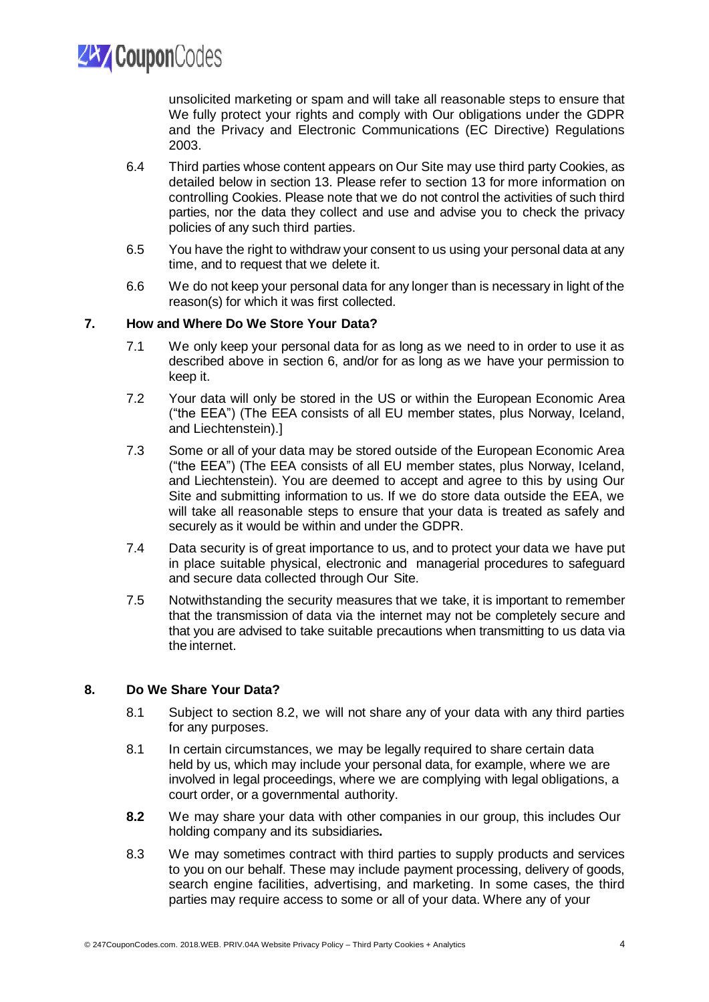**ZAY Coupon**Codes

unsolicited marketing or spam and will take all reasonable steps to ensure that We fully protect your rights and comply with Our obligations under the GDPR and the Privacy and Electronic Communications (EC Directive) Regulations 2003.

- 6.4 Third parties whose content appears on Our Site may use third party Cookies, as detailed below in section 13. Please refer to section 13 for more information on controlling Cookies. Please note that we do not control the activities of such third parties, nor the data they collect and use and advise you to check the privacy policies of any such third parties.
- 6.5 You have the right to withdraw your consent to us using your personal data at any time, and to request that we delete it.
- 6.6 We do not keep your personal data for any longer than is necessary in light of the reason(s) for which it was first collected.

# **7. How and Where Do We Store Your Data?**

- 7.1 We only keep your personal data for as long as we need to in order to use it as described above in section 6, and/or for as long as we have your permission to keep it.
- 7.2 Your data will only be stored in the US or within the European Economic Area ("the EEA") (The EEA consists of all EU member states, plus Norway, Iceland, and Liechtenstein).]
- 7.3 Some or all of your data may be stored outside of the European Economic Area ("the EEA") (The EEA consists of all EU member states, plus Norway, Iceland, and Liechtenstein). You are deemed to accept and agree to this by using Our Site and submitting information to us. If we do store data outside the EEA, we will take all reasonable steps to ensure that your data is treated as safely and securely as it would be within and under the GDPR.
- 7.4 Data security is of great importance to us, and to protect your data we have put in place suitable physical, electronic and managerial procedures to safeguard and secure data collected through Our Site.
- 7.5 Notwithstanding the security measures that we take, it is important to remember that the transmission of data via the internet may not be completely secure and that you are advised to take suitable precautions when transmitting to us data via the internet.

# **8. Do We Share Your Data?**

- 8.1 Subject to section 8.2, we will not share any of your data with any third parties for any purposes.
- 8.1 In certain circumstances, we may be legally required to share certain data held by us, which may include your personal data, for example, where we are involved in legal proceedings, where we are complying with legal obligations, a court order, or a governmental authority.
- **8.2** We may share your data with other companies in our group, this includes Our holding company and its subsidiaries**.**
- 8.3 We may sometimes contract with third parties to supply products and services to you on our behalf. These may include payment processing, delivery of goods, search engine facilities, advertising, and marketing. In some cases, the third parties may require access to some or all of your data. Where any of your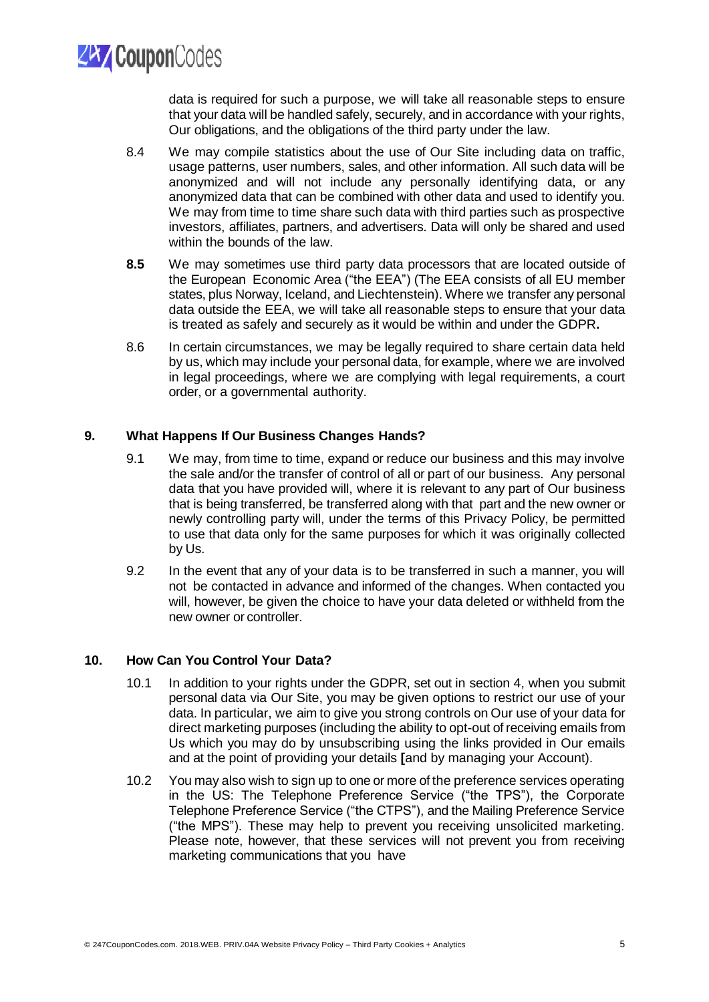**ZAY Coupon**Codes

data is required for such a purpose, we will take all reasonable steps to ensure that your data will be handled safely, securely, and in accordance with your rights, Our obligations, and the obligations of the third party under the law.

- 8.4 We may compile statistics about the use of Our Site including data on traffic, usage patterns, user numbers, sales, and other information. All such data will be anonymized and will not include any personally identifying data, or any anonymized data that can be combined with other data and used to identify you. We may from time to time share such data with third parties such as prospective investors, affiliates, partners, and advertisers. Data will only be shared and used within the bounds of the law.
- **8.5** We may sometimes use third party data processors that are located outside of the European Economic Area ("the EEA") (The EEA consists of all EU member states, plus Norway, Iceland, and Liechtenstein). Where we transfer any personal data outside the EEA, we will take all reasonable steps to ensure that your data is treated as safely and securely as it would be within and under the GDPR**.**
- 8.6 In certain circumstances, we may be legally required to share certain data held by us, which may include your personal data, for example, where we are involved in legal proceedings, where we are complying with legal requirements, a court order, or a governmental authority.

# **9. What Happens If Our Business Changes Hands?**

- 9.1 We may, from time to time, expand or reduce our business and this may involve the sale and/or the transfer of control of all or part of our business. Any personal data that you have provided will, where it is relevant to any part of Our business that is being transferred, be transferred along with that part and the new owner or newly controlling party will, under the terms of this Privacy Policy, be permitted to use that data only for the same purposes for which it was originally collected by Us.
- 9.2 In the event that any of your data is to be transferred in such a manner, you will not be contacted in advance and informed of the changes. When contacted you will, however, be given the choice to have your data deleted or withheld from the new owner or controller.

# **10. How Can You Control Your Data?**

- 10.1 In addition to your rights under the GDPR, set out in section 4, when you submit personal data via Our Site, you may be given options to restrict our use of your data. In particular, we aim to give you strong controls on Our use of your data for direct marketing purposes (including the ability to opt-out of receiving emails from Us which you may do by unsubscribing using the links provided in Our emails and at the point of providing your details **[**and by managing your Account).
- 10.2 You may also wish to sign up to one or more of the preference services operating in the US: The Telephone Preference Service ("the TPS"), the Corporate Telephone Preference Service ("the CTPS"), and the Mailing Preference Service ("the MPS"). These may help to prevent you receiving unsolicited marketing. Please note, however, that these services will not prevent you from receiving marketing communications that you have